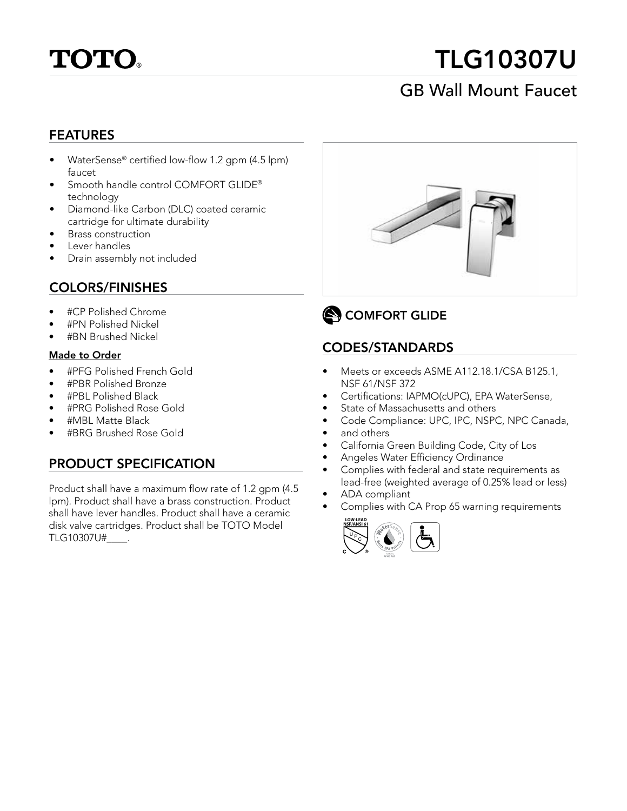

# TLG10307U

## GB Wall Mount Faucet

#### FEATURES

- WaterSense® certified low-flow 1.2 gpm (4.5 lpm) faucet
- Smooth handle control COMFORT GLIDE® technology
- Diamond-like Carbon (DLC) coated ceramic cartridge for ultimate durability
- Brass construction
- Lever handles
- Drain assembly not included

#### COLORS/FINISHES

- 
- #PN Polished Nickel
- #BN Brushed Nickel

#### Made to Order

- #PFG Polished French Gold
- #PBR Polished Bronze
- #PBL Polished Black
- #PRG Polished Rose Gold
- #MBL Matte Black
- #BRG Brushed Rose Gold

#### PRODUCT SPECIFICATION

Product shall have a maximum flow rate of 1.2 gpm (4.5 lpm). Product shall have a brass construction. Product shall have lever handles. Product shall have a ceramic disk valve cartridges. Product shall be TOTO Model TLG10307U#\_\_\_\_.





#### CODES/STANDARDS

- Meets or exceeds ASME A112.18.1/CSA B125.1, NSF 61/NSF 372
- Certifications: IAPMO(cUPC), EPA WaterSense,
- State of Massachusetts and others
- Code Compliance: UPC, IPC, NSPC, NPC Canada,
- and others
- California Green Building Code, City of Los
- Angeles Water Efficiency Ordinance
- Complies with federal and state requirements as lead-free (weighted average of 0.25% lead or less)
- ADA compliant
- Complies with CA Prop 65 warning requirements